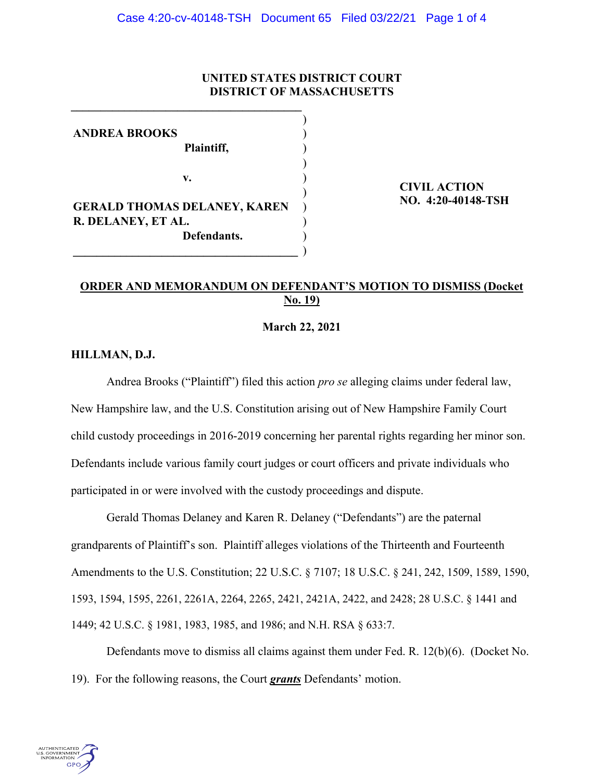# **UNITED STATES DISTRICT COURT DISTRICT OF MASSACHUSETTS**

| <b>ANDREA BROOKS</b>                |  |
|-------------------------------------|--|
| Plaintiff,                          |  |
| v.                                  |  |
|                                     |  |
| <b>GERALD THOMAS DELANEY, KAREN</b> |  |
| R. DELANEY, ET AL.                  |  |
| Defendants.                         |  |
|                                     |  |

**\_\_\_\_\_\_\_\_\_\_\_\_\_\_\_\_\_\_\_\_\_\_\_\_\_\_\_\_\_\_\_\_\_\_\_\_\_\_\_**

 **CIVIL ACTION NO. 4:20-40148-TSH** 

# **ORDER AND MEMORANDUM ON DEFENDANT'S MOTION TO DISMISS (Docket No. 19)**

### **March 22, 2021**

## **HILLMAN, D.J.**

Andrea Brooks ("Plaintiff") filed this action *pro se* alleging claims under federal law, New Hampshire law, and the U.S. Constitution arising out of New Hampshire Family Court child custody proceedings in 2016-2019 concerning her parental rights regarding her minor son. Defendants include various family court judges or court officers and private individuals who participated in or were involved with the custody proceedings and dispute.

Gerald Thomas Delaney and Karen R. Delaney ("Defendants") are the paternal grandparents of Plaintiff's son. Plaintiff alleges violations of the Thirteenth and Fourteenth Amendments to the U.S. Constitution; 22 U.S.C. § 7107; 18 U.S.C. § 241, 242, 1509, 1589, 1590, 1593, 1594, 1595, 2261, 2261A, 2264, 2265, 2421, 2421A, 2422, and 2428; 28 U.S.C. § 1441 and 1449; 42 U.S.C. § 1981, 1983, 1985, and 1986; and N.H. RSA § 633:7.

Defendants move to dismiss all claims against them under Fed. R. 12(b)(6). (Docket No. 19). For the following reasons, the Court *grants* Defendants' motion.

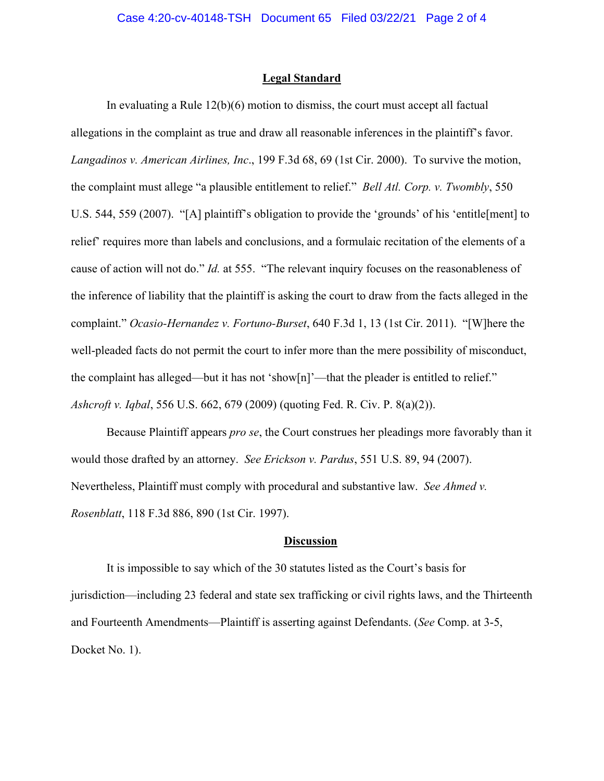#### **Legal Standard**

In evaluating a Rule  $12(b)(6)$  motion to dismiss, the court must accept all factual allegations in the complaint as true and draw all reasonable inferences in the plaintiff's favor. *Langadinos v. American Airlines, Inc*., 199 F.3d 68, 69 (1st Cir. 2000). To survive the motion, the complaint must allege "a plausible entitlement to relief." *Bell Atl. Corp. v. Twombly*, 550 U.S. 544, 559 (2007). "[A] plaintiff's obligation to provide the 'grounds' of his 'entitle[ment] to relief' requires more than labels and conclusions, and a formulaic recitation of the elements of a cause of action will not do." *Id.* at 555. "The relevant inquiry focuses on the reasonableness of the inference of liability that the plaintiff is asking the court to draw from the facts alleged in the complaint." *Ocasio-Hernandez v. Fortuno-Burset*, 640 F.3d 1, 13 (1st Cir. 2011). "[W]here the well-pleaded facts do not permit the court to infer more than the mere possibility of misconduct, the complaint has alleged—but it has not 'show[n]'—that the pleader is entitled to relief." *Ashcroft v. Iqbal*, 556 U.S. 662, 679 (2009) (quoting Fed. R. Civ. P. 8(a)(2)).

Because Plaintiff appears *pro se*, the Court construes her pleadings more favorably than it would those drafted by an attorney. *See Erickson v. Pardus*, 551 U.S. 89, 94 (2007). Nevertheless, Plaintiff must comply with procedural and substantive law. *See Ahmed v. Rosenblatt*, 118 F.3d 886, 890 (1st Cir. 1997).

### **Discussion**

It is impossible to say which of the 30 statutes listed as the Court's basis for jurisdiction—including 23 federal and state sex trafficking or civil rights laws, and the Thirteenth and Fourteenth Amendments—Plaintiff is asserting against Defendants. (*See* Comp. at 3-5, Docket No. 1).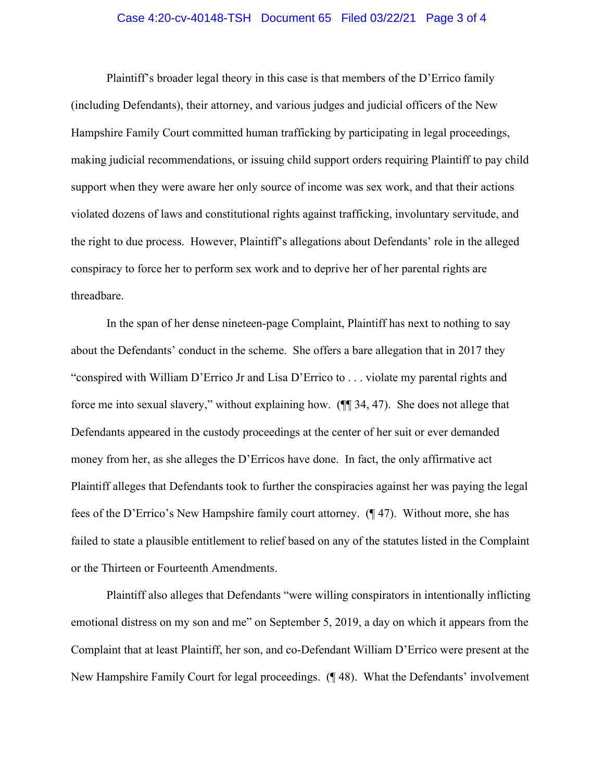### Case 4:20-cv-40148-TSH Document 65 Filed 03/22/21 Page 3 of 4

Plaintiff's broader legal theory in this case is that members of the D'Errico family (including Defendants), their attorney, and various judges and judicial officers of the New Hampshire Family Court committed human trafficking by participating in legal proceedings, making judicial recommendations, or issuing child support orders requiring Plaintiff to pay child support when they were aware her only source of income was sex work, and that their actions violated dozens of laws and constitutional rights against trafficking, involuntary servitude, and the right to due process. However, Plaintiff's allegations about Defendants' role in the alleged conspiracy to force her to perform sex work and to deprive her of her parental rights are threadbare.

In the span of her dense nineteen-page Complaint, Plaintiff has next to nothing to say about the Defendants' conduct in the scheme. She offers a bare allegation that in 2017 they "conspired with William D'Errico Jr and Lisa D'Errico to . . . violate my parental rights and force me into sexual slavery," without explaining how. (¶¶ 34, 47). She does not allege that Defendants appeared in the custody proceedings at the center of her suit or ever demanded money from her, as she alleges the D'Erricos have done. In fact, the only affirmative act Plaintiff alleges that Defendants took to further the conspiracies against her was paying the legal fees of the D'Errico's New Hampshire family court attorney. (¶ 47). Without more, she has failed to state a plausible entitlement to relief based on any of the statutes listed in the Complaint or the Thirteen or Fourteenth Amendments.

Plaintiff also alleges that Defendants "were willing conspirators in intentionally inflicting emotional distress on my son and me" on September 5, 2019, a day on which it appears from the Complaint that at least Plaintiff, her son, and co-Defendant William D'Errico were present at the New Hampshire Family Court for legal proceedings. (¶ 48). What the Defendants' involvement